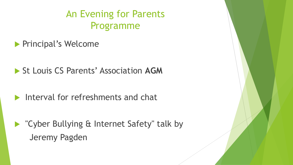# An Evening for Parents Programme

**Principal's Welcome** 

- ▶ St Louis CS Parents' Association AGM
- Interval for refreshments and chat
- ▶ "Cyber Bullying & Internet Safety" talk by Jeremy Pagden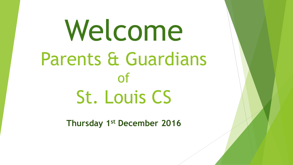Welcome Parents & Guardians of St. Louis CS

**Thursday 1st December 2016**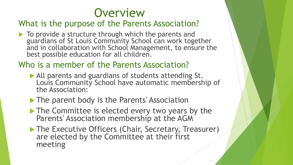

#### What is the purpose of the Parents Association?

To provide a structure through which the parents and guardians of St Louis Community School can work together and in collaboration with School Management, to ensure the best possible education for all children.

### Who is a member of the Parents Association?

- All parents and guardians of students attending St. Louis Community School have automatic membership of the Association:
- The parent body is the Parents' Association
- The Committee is elected every two years by the Parents' Association membership at the AGM
- The Executive Officers (Chair, Secretary, Treasurer) are elected by the Committee at their first meeting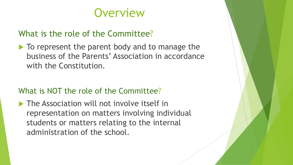# **Overview**

#### What is the role of the Committee?

 $\blacktriangleright$  To represent the parent body and to manage the business of the Parents' Association in accordance with the Constitution.

#### What is NOT the role of the Committee?

 $\blacktriangleright$  The Association will not involve itself in representation on matters involving individual students or matters relating to the internal administration of the school.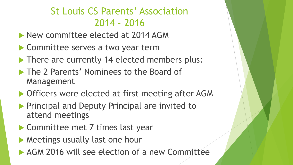# St Louis CS Parents' Association 2014 - 2016

- **New committee elected at 2014 AGM**
- ▶ Committee serves a two year term
- There are currently 14 elected members plus:
- ▶ The 2 Parents' Nominees to the Board of Management
- ▶ Officers were elected at first meeting after AGM
- **Principal and Deputy Principal are invited to** attend meetings
- ▶ Committee met 7 times last year
- **Meetings usually last one hour**
- ▶ AGM 2016 will see election of a new Committee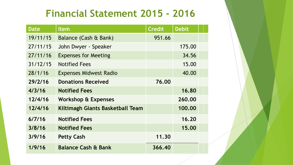## **Financial Statement 2015 - 2016**

| <b>Date</b> | <b>Item</b>                      | <b>Credit</b> | <b>Debit</b> |  |
|-------------|----------------------------------|---------------|--------------|--|
| 19/11/15    | Balance (Cash & Bank)            | 951.66        |              |  |
| 27/11/15    | John Dwyer - Speaker             |               | 175.00       |  |
| 27/11/16    | <b>Expenses for Meeting</b>      |               | 34.56        |  |
| 31/12/15    | <b>Notified Fees</b>             |               | 15.00        |  |
| 28/1/16     | <b>Expenses Midwest Radio</b>    |               | 40.00        |  |
| 29/2/16     | <b>Donations Received</b>        | 76.00         |              |  |
| 4/3/16      | <b>Notified Fees</b>             |               | 16.80        |  |
| 12/4/16     | Workshop & Expenses              |               | 260.00       |  |
| 12/4/16     | Kiltimagh Giants Basketball Team |               | 100.00       |  |
| 6/7/16      | <b>Notified Fees</b>             |               | 16.20        |  |
| 3/8/16      | <b>Notified Fees</b>             |               | 15.00        |  |
| 3/9/16      | <b>Petty Cash</b>                | 11.30         |              |  |
| 1/9/16      | <b>Balance Cash &amp; Bank</b>   | 366.40        |              |  |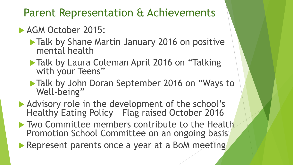Parent Representation & Achievements

#### **AGM October 2015:**

- **Talk by Shane Martin January 2016 on positive** mental health
- Talk by Laura Coleman April 2016 on "Talking" with your Teens"
- **Talk by John Doran September 2016 on "Ways to** Well-being"
- Advisory role in the development of the school's Healthy Eating Policy – Flag raised October 2016
- **Two Committee members contribute to the Health** Promotion School Committee on an ongoing basis
- Represent parents once a year at a BoM meeting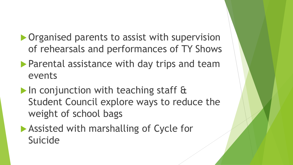- ▶ Organised parents to assist with supervision of rehearsals and performances of TY Shows
- **Parental assistance with day trips and team** events
- In conjunction with teaching staff & Student Council explore ways to reduce the weight of school bags
- ▶ Assisted with marshalling of Cycle for Suicide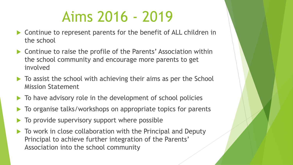# Aims 2016 - 2019

- ▶ Continue to represent parents for the benefit of ALL children in the school
- ▶ Continue to raise the profile of the Parents' Association within the school community and encourage more parents to get involved
- $\blacktriangleright$  To assist the school with achieving their aims as per the School Mission Statement
- $\blacktriangleright$  To have advisory role in the development of school policies
- $\blacktriangleright$  To organise talks/workshops on appropriate topics for parents
- To provide supervisory support where possible
- $\blacktriangleright$  To work in close collaboration with the Principal and Deputy Principal to achieve further integration of the Parents' Association into the school community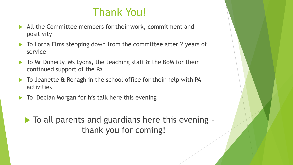# Thank You!

- All the Committee members for their work, commitment and positivity
- ▶ To Lorna Elms stepping down from the committee after 2 years of service
- ▶ To Mr Doherty, Ms Lyons, the teaching staff & the BoM for their continued support of the PA
- ▶ To Jeanette & Renagh in the school office for their help with PA activities
- ▶ To Declan Morgan for his talk here this evening

 $\triangleright$  To all parents and guardians here this evening thank you for coming!